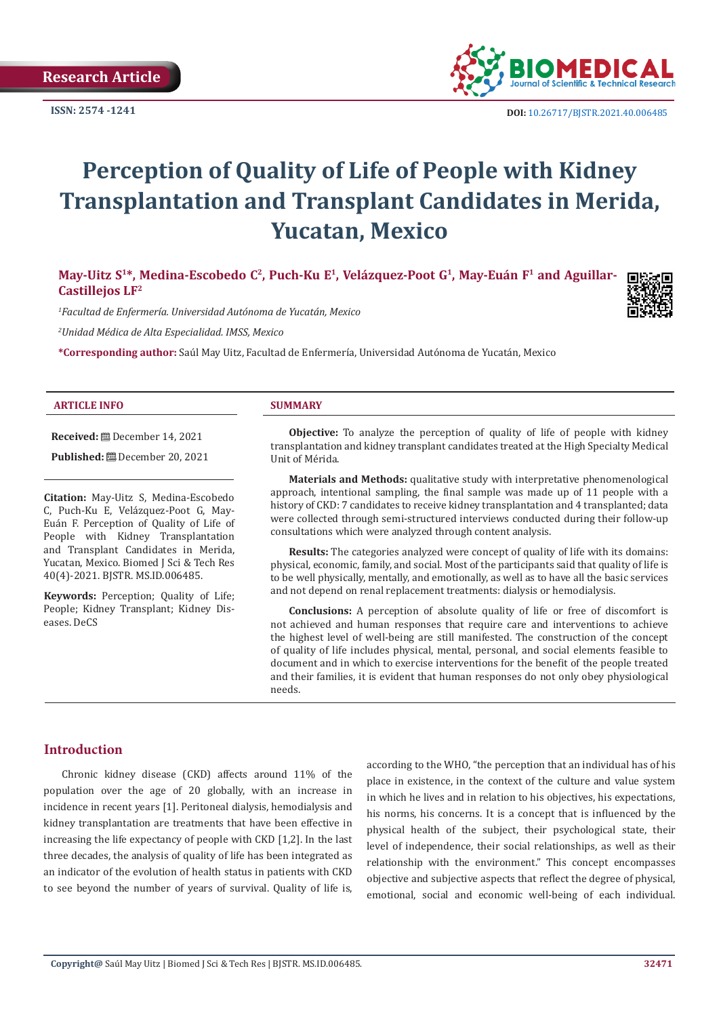

**ISSN:** 2574 -1241 **DOI:** [10.26717/BJSTR.2021.40.006485](https://dx.doi.org/10.26717/BJSTR.2021.40.006485)

# **Perception of Quality of Life of People with Kidney Transplantation and Transplant Candidates in Merida, Yucatan, Mexico**

May-Uitz S<sup>1\*</sup>, Medina-Escobedo C<sup>2</sup>, Puch-Ku E<sup>1</sup>, Velázquez-Poot G<sup>1</sup>, May-Euán F<sup>1</sup> and Aguillar-**Castillejos LF2**

*1 Facultad de Enfermería. Universidad Autónoma de Yucatán, Mexico*

*2 Unidad Médica de Alta Especialidad. IMSS, Mexico*

**\*Corresponding author:** Saúl May Uitz, Facultad de Enfermería, Universidad Autónoma de Yucatán, Mexico

#### **ARTICLE INFO SUMMARY**

**Received:** December 14, 2021

Published: **□** December 20, 2021

**Citation:** May-Uitz S, Medina-Escobedo C, Puch-Ku E, Velázquez-Poot G, May-Euán F. Perception of Quality of Life of People with Kidney Transplantation and Transplant Candidates in Merida, Yucatan, Mexico. Biomed J Sci & Tech Res 40(4)-2021. BJSTR. MS.ID.006485.

**Keywords:** Perception; Quality of Life; People; Kidney Transplant; Kidney Diseases. DeCS

**Objective:** To analyze the perception of quality of life of people with kidney transplantation and kidney transplant candidates treated at the High Specialty Medical Unit of Mérida.

**Materials and Methods:** qualitative study with interpretative phenomenological approach, intentional sampling, the final sample was made up of 11 people with a history of CKD: 7 candidates to receive kidney transplantation and 4 transplanted; data were collected through semi-structured interviews conducted during their follow-up consultations which were analyzed through content analysis.

**Results:** The categories analyzed were concept of quality of life with its domains: physical, economic, family, and social. Most of the participants said that quality of life is to be well physically, mentally, and emotionally, as well as to have all the basic services and not depend on renal replacement treatments: dialysis or hemodialysis.

**Conclusions:** A perception of absolute quality of life or free of discomfort is not achieved and human responses that require care and interventions to achieve the highest level of well-being are still manifested. The construction of the concept of quality of life includes physical, mental, personal, and social elements feasible to document and in which to exercise interventions for the benefit of the people treated and their families, it is evident that human responses do not only obey physiological needs.

# **Introduction**

Chronic kidney disease (CKD) affects around 11% of the population over the age of 20 globally, with an increase in incidence in recent years [1]. Peritoneal dialysis, hemodialysis and kidney transplantation are treatments that have been effective in increasing the life expectancy of people with CKD [1,2]. In the last three decades, the analysis of quality of life has been integrated as an indicator of the evolution of health status in patients with CKD to see beyond the number of years of survival. Quality of life is, according to the WHO, "the perception that an individual has of his place in existence, in the context of the culture and value system in which he lives and in relation to his objectives, his expectations, his norms, his concerns. It is a concept that is influenced by the physical health of the subject, their psychological state, their level of independence, their social relationships, as well as their relationship with the environment." This concept encompasses objective and subjective aspects that reflect the degree of physical, emotional, social and economic well-being of each individual.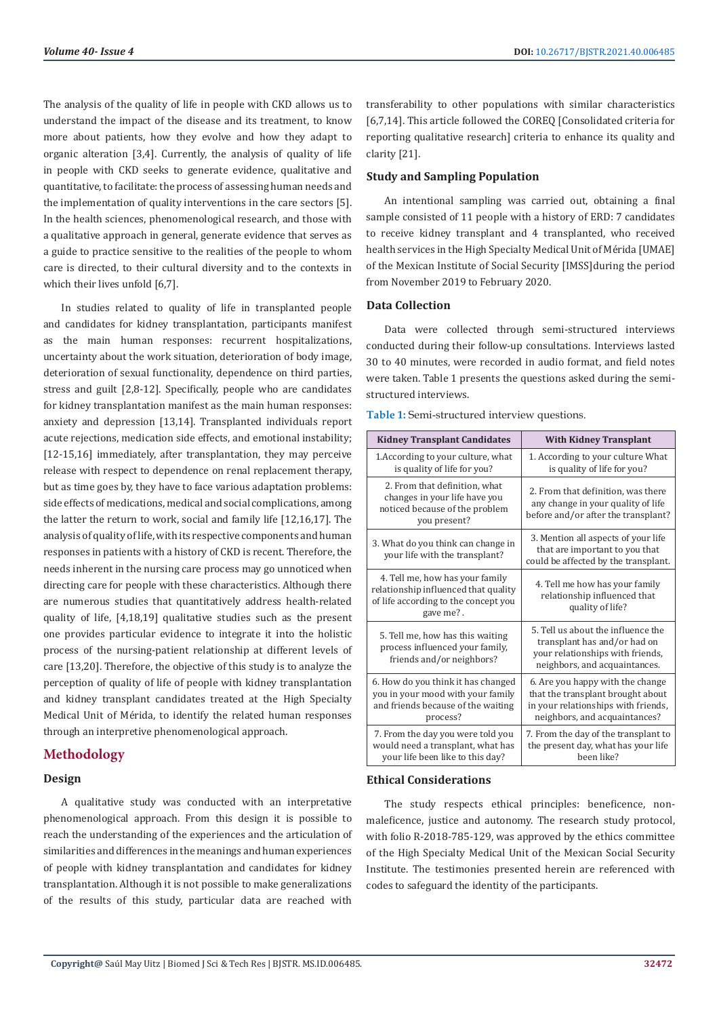The analysis of the quality of life in people with CKD allows us to understand the impact of the disease and its treatment, to know more about patients, how they evolve and how they adapt to organic alteration [3,4]. Currently, the analysis of quality of life in people with CKD seeks to generate evidence, qualitative and quantitative, to facilitate: the process of assessing human needs and the implementation of quality interventions in the care sectors [5]. In the health sciences, phenomenological research, and those with a qualitative approach in general, generate evidence that serves as a guide to practice sensitive to the realities of the people to whom care is directed, to their cultural diversity and to the contexts in which their lives unfold [6,7].

In studies related to quality of life in transplanted people and candidates for kidney transplantation, participants manifest as the main human responses: recurrent hospitalizations, uncertainty about the work situation, deterioration of body image, deterioration of sexual functionality, dependence on third parties, stress and guilt [2,8-12]. Specifically, people who are candidates for kidney transplantation manifest as the main human responses: anxiety and depression [13,14]. Transplanted individuals report acute rejections, medication side effects, and emotional instability; [12-15,16] immediately, after transplantation, they may perceive release with respect to dependence on renal replacement therapy, but as time goes by, they have to face various adaptation problems: side effects of medications, medical and social complications, among the latter the return to work, social and family life [12,16,17]. The analysis of quality of life, with its respective components and human responses in patients with a history of CKD is recent. Therefore, the needs inherent in the nursing care process may go unnoticed when directing care for people with these characteristics. Although there are numerous studies that quantitatively address health-related quality of life, [4,18,19] qualitative studies such as the present one provides particular evidence to integrate it into the holistic process of the nursing-patient relationship at different levels of care [13,20]. Therefore, the objective of this study is to analyze the perception of quality of life of people with kidney transplantation and kidney transplant candidates treated at the High Specialty Medical Unit of Mérida, to identify the related human responses through an interpretive phenomenological approach.

# **Methodology**

#### **Design**

A qualitative study was conducted with an interpretative phenomenological approach. From this design it is possible to reach the understanding of the experiences and the articulation of similarities and differences in the meanings and human experiences of people with kidney transplantation and candidates for kidney transplantation. Although it is not possible to make generalizations of the results of this study, particular data are reached with

transferability to other populations with similar characteristics [6,7,14]. This article followed the COREQ [Consolidated criteria for reporting qualitative research] criteria to enhance its quality and clarity [21].

# **Study and Sampling Population**

An intentional sampling was carried out, obtaining a final sample consisted of 11 people with a history of ERD: 7 candidates to receive kidney transplant and 4 transplanted, who received health services in the High Specialty Medical Unit of Mérida [UMAE] of the Mexican Institute of Social Security [IMSS]during the period from November 2019 to February 2020.

#### **Data Collection**

Data were collected through semi-structured interviews conducted during their follow-up consultations. Interviews lasted 30 to 40 minutes, were recorded in audio format, and field notes were taken. Table 1 presents the questions asked during the semistructured interviews.

**Table 1:** Semi-structured interview questions.

| <b>Kidney Transplant Candidates</b>                                                                                          | <b>With Kidney Transplant</b>                                                                                                                 |
|------------------------------------------------------------------------------------------------------------------------------|-----------------------------------------------------------------------------------------------------------------------------------------------|
| 1. According to your culture, what<br>is quality of life for you?                                                            | 1. According to your culture What<br>is quality of life for you?                                                                              |
| 2. From that definition, what<br>changes in your life have you<br>noticed because of the problem<br>you present?             | 2. From that definition, was there<br>any change in your quality of life<br>before and/or after the transplant?                               |
| 3. What do you think can change in<br>your life with the transplant?                                                         | 3. Mention all aspects of your life<br>that are important to you that<br>could be affected by the transplant.                                 |
| 4. Tell me, how has your family<br>relationship influenced that quality<br>of life according to the concept you<br>gave me?. | 4. Tell me how has your family<br>relationship influenced that<br>quality of life?                                                            |
| 5. Tell me, how has this waiting<br>process influenced your family,<br>friends and/or neighbors?                             | 5. Tell us about the influence the<br>transplant has and/or had on<br>your relationships with friends,<br>neighbors, and acquaintances.       |
| 6. How do you think it has changed<br>you in your mood with your family<br>and friends because of the waiting<br>process?    | 6. Are you happy with the change<br>that the transplant brought about<br>in your relationships with friends,<br>neighbors, and acquaintances? |
| 7. From the day you were told you<br>would need a transplant, what has<br>your life been like to this day?                   | 7. From the day of the transplant to<br>the present day, what has your life<br>been like?                                                     |

# **Ethical Considerations**

The study respects ethical principles: beneficence, nonmaleficence, justice and autonomy. The research study protocol, with folio R-2018-785-129, was approved by the ethics committee of the High Specialty Medical Unit of the Mexican Social Security Institute. The testimonies presented herein are referenced with codes to safeguard the identity of the participants.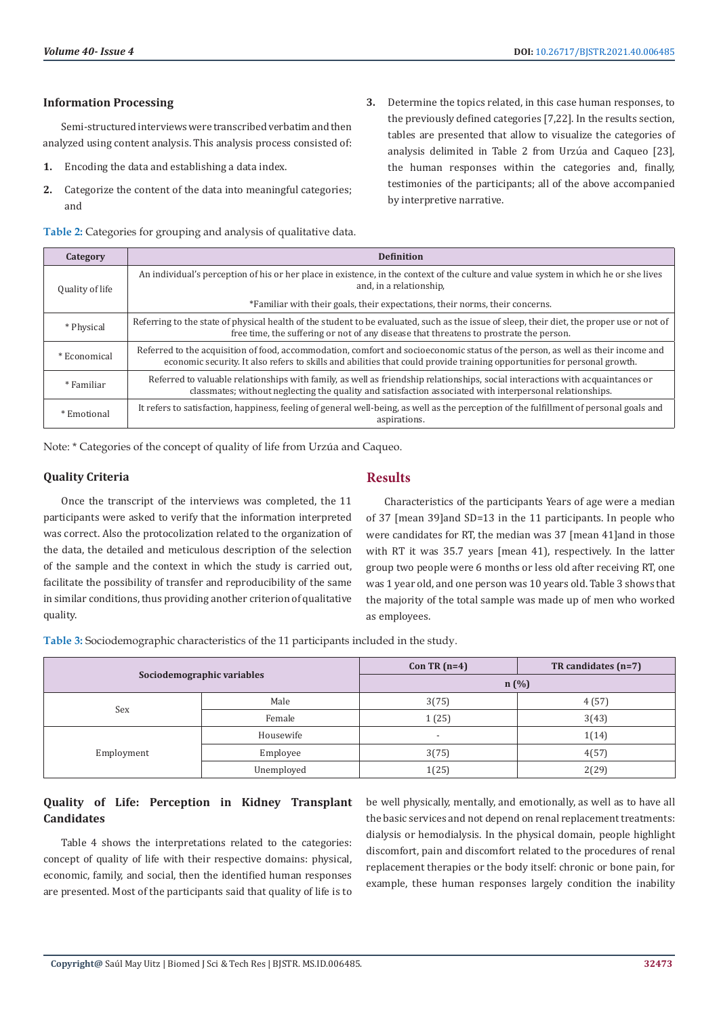# **Information Processing**

Semi-structured interviews were transcribed verbatim and then analyzed using content analysis. This analysis process consisted of:

- **1.** Encoding the data and establishing a data index.
- **2.** Categorize the content of the data into meaningful categories; and
- **Table 2:** Categories for grouping and analysis of qualitative data.
- **3.** Determine the topics related, in this case human responses, to the previously defined categories [7,22]. In the results section, tables are presented that allow to visualize the categories of analysis delimited in Table 2 from Urzúa and Caqueo [23], the human responses within the categories and, finally, testimonies of the participants; all of the above accompanied by interpretive narrative.

| Category        | <b>Definition</b>                                                                                                                                                                                                                                           |
|-----------------|-------------------------------------------------------------------------------------------------------------------------------------------------------------------------------------------------------------------------------------------------------------|
| Quality of life | An individual's perception of his or her place in existence, in the context of the culture and value system in which he or she lives<br>and, in a relationship,                                                                                             |
|                 | *Familiar with their goals, their expectations, their norms, their concerns.                                                                                                                                                                                |
| * Physical      | Referring to the state of physical health of the student to be evaluated, such as the issue of sleep, their diet, the proper use or not of<br>free time, the suffering or not of any disease that threatens to prostrate the person.                        |
| * Economical    | Referred to the acquisition of food, accommodation, comfort and socioeconomic status of the person, as well as their income and<br>economic security. It also refers to skills and abilities that could provide training opportunities for personal growth. |
| * Familiar      | Referred to valuable relationships with family, as well as friendship relationships, social interactions with acquaintances or<br>classmates; without neglecting the quality and satisfaction associated with interpersonal relationships.                  |
| * Emotional     | It refers to satisfaction, happiness, feeling of general well-being, as well as the perception of the fulfillment of personal goals and<br>aspirations.                                                                                                     |

Note: \* Categories of the concept of quality of life from Urzúa and Caqueo.

## **Quality Criteria**

Once the transcript of the interviews was completed, the 11 participants were asked to verify that the information interpreted was correct. Also the protocolization related to the organization of the data, the detailed and meticulous description of the selection of the sample and the context in which the study is carried out, facilitate the possibility of transfer and reproducibility of the same in similar conditions, thus providing another criterion of qualitative quality.

# **Results**

Characteristics of the participants Years of age were a median of 37 [mean 39]and SD=13 in the 11 participants. In people who were candidates for RT, the median was 37 [mean 41]and in those with RT it was 35.7 years [mean 41], respectively. In the latter group two people were 6 months or less old after receiving RT, one was 1 year old, and one person was 10 years old. Table 3 shows that the majority of the total sample was made up of men who worked as employees.

**Table 3:** Sociodemographic characteristics of the 11 participants included in the study.

| Sociodemographic variables |            | Con TR $(n=4)$           | TR candidates $(n=7)$ |
|----------------------------|------------|--------------------------|-----------------------|
|                            |            | n(%)                     |                       |
| Sex                        | Male       | 3(75)                    | 4(57)                 |
|                            | Female     | 1(25)                    | 3(43)                 |
|                            | Housewife  | $\overline{\phantom{a}}$ | 1(14)                 |
| Employment                 | Employee   | 3(75)                    | 4(57)                 |
|                            | Unemployed | 1(25)                    | 2(29)                 |

# **Quality of Life: Perception in Kidney Transplant Candidates**

Table 4 shows the interpretations related to the categories: concept of quality of life with their respective domains: physical, economic, family, and social, then the identified human responses are presented. Most of the participants said that quality of life is to

be well physically, mentally, and emotionally, as well as to have all the basic services and not depend on renal replacement treatments: dialysis or hemodialysis. In the physical domain, people highlight discomfort, pain and discomfort related to the procedures of renal replacement therapies or the body itself: chronic or bone pain, for example, these human responses largely condition the inability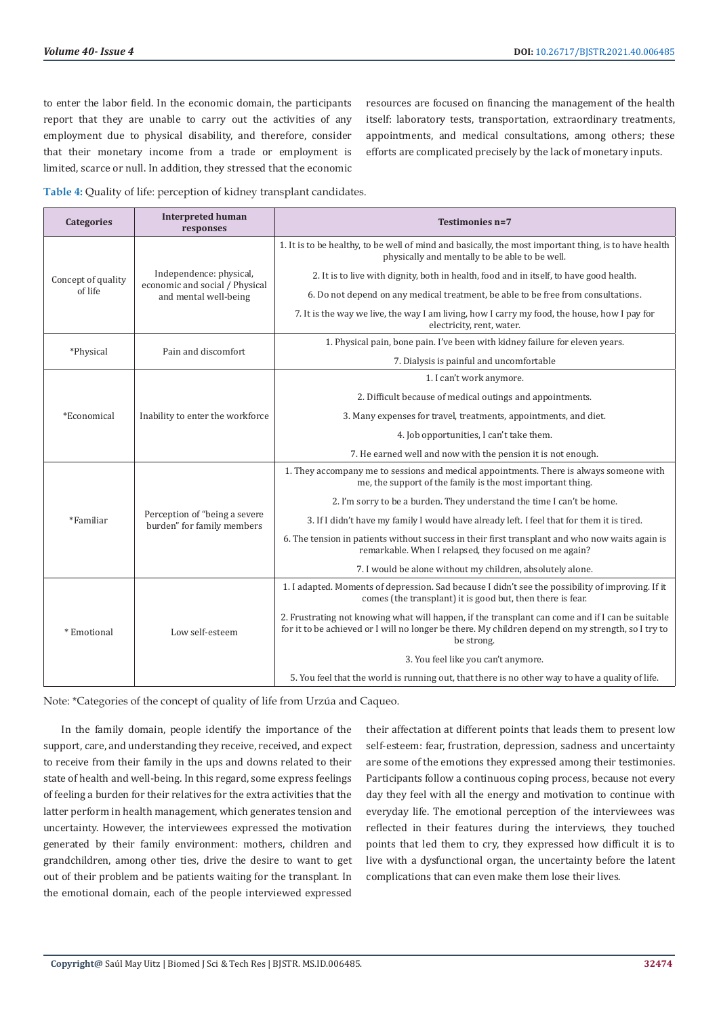to enter the labor field. In the economic domain, the participants report that they are unable to carry out the activities of any employment due to physical disability, and therefore, consider that their monetary income from a trade or employment is limited, scarce or null. In addition, they stressed that the economic resources are focused on financing the management of the health itself: laboratory tests, transportation, extraordinary treatments, appointments, and medical consultations, among others; these efforts are complicated precisely by the lack of monetary inputs.

**Table 4:** Quality of life: perception of kidney transplant candidates.

| Categories         | <b>Interpreted human</b><br>responses                                              | Testimonies n=7                                                                                                                                                                                                      |
|--------------------|------------------------------------------------------------------------------------|----------------------------------------------------------------------------------------------------------------------------------------------------------------------------------------------------------------------|
| Concept of quality | Independence: physical,<br>economic and social / Physical<br>and mental well-being | 1. It is to be healthy, to be well of mind and basically, the most important thing, is to have health<br>physically and mentally to be able to be well.                                                              |
|                    |                                                                                    | 2. It is to live with dignity, both in health, food and in itself, to have good health.                                                                                                                              |
| of life            |                                                                                    | 6. Do not depend on any medical treatment, be able to be free from consultations.                                                                                                                                    |
|                    |                                                                                    | 7. It is the way we live, the way I am living, how I carry my food, the house, how I pay for<br>electricity, rent, water.                                                                                            |
|                    | Pain and discomfort                                                                | 1. Physical pain, bone pain. I've been with kidney failure for eleven years.                                                                                                                                         |
| *Physical          |                                                                                    | 7. Dialysis is painful and uncomfortable                                                                                                                                                                             |
|                    |                                                                                    | 1. I can't work anymore.                                                                                                                                                                                             |
|                    |                                                                                    | 2. Difficult because of medical outings and appointments.                                                                                                                                                            |
| *Economical        | Inability to enter the workforce                                                   | 3. Many expenses for travel, treatments, appointments, and diet.                                                                                                                                                     |
|                    |                                                                                    | 4. Job opportunities, I can't take them.                                                                                                                                                                             |
|                    |                                                                                    | 7. He earned well and now with the pension it is not enough.                                                                                                                                                         |
|                    |                                                                                    | 1. They accompany me to sessions and medical appointments. There is always someone with<br>me, the support of the family is the most important thing.                                                                |
|                    |                                                                                    | 2. I'm sorry to be a burden. They understand the time I can't be home.                                                                                                                                               |
| *Familiar          | Perception of "being a severe<br>burden" for family members                        | 3. If I didn't have my family I would have already left. I feel that for them it is tired.                                                                                                                           |
|                    |                                                                                    | 6. The tension in patients without success in their first transplant and who now waits again is<br>remarkable. When I relapsed, they focused on me again?                                                            |
|                    |                                                                                    | 7. I would be alone without my children, absolutely alone.                                                                                                                                                           |
| * Emotional        | Low self-esteem                                                                    | 1. I adapted. Moments of depression. Sad because I didn't see the possibility of improving. If it<br>comes (the transplant) it is good but, then there is fear.                                                      |
|                    |                                                                                    | 2. Frustrating not knowing what will happen, if the transplant can come and if I can be suitable<br>for it to be achieved or I will no longer be there. My children depend on my strength, so I try to<br>be strong. |
|                    |                                                                                    | 3. You feel like you can't anymore.                                                                                                                                                                                  |
|                    |                                                                                    | 5. You feel that the world is running out, that there is no other way to have a quality of life.                                                                                                                     |

Note: \*Categories of the concept of quality of life from Urzúa and Caqueo.

In the family domain, people identify the importance of the support, care, and understanding they receive, received, and expect to receive from their family in the ups and downs related to their state of health and well-being. In this regard, some express feelings of feeling a burden for their relatives for the extra activities that the latter perform in health management, which generates tension and uncertainty. However, the interviewees expressed the motivation generated by their family environment: mothers, children and grandchildren, among other ties, drive the desire to want to get out of their problem and be patients waiting for the transplant. In the emotional domain, each of the people interviewed expressed

their affectation at different points that leads them to present low self-esteem: fear, frustration, depression, sadness and uncertainty are some of the emotions they expressed among their testimonies. Participants follow a continuous coping process, because not every day they feel with all the energy and motivation to continue with everyday life. The emotional perception of the interviewees was reflected in their features during the interviews, they touched points that led them to cry, they expressed how difficult it is to live with a dysfunctional organ, the uncertainty before the latent complications that can even make them lose their lives.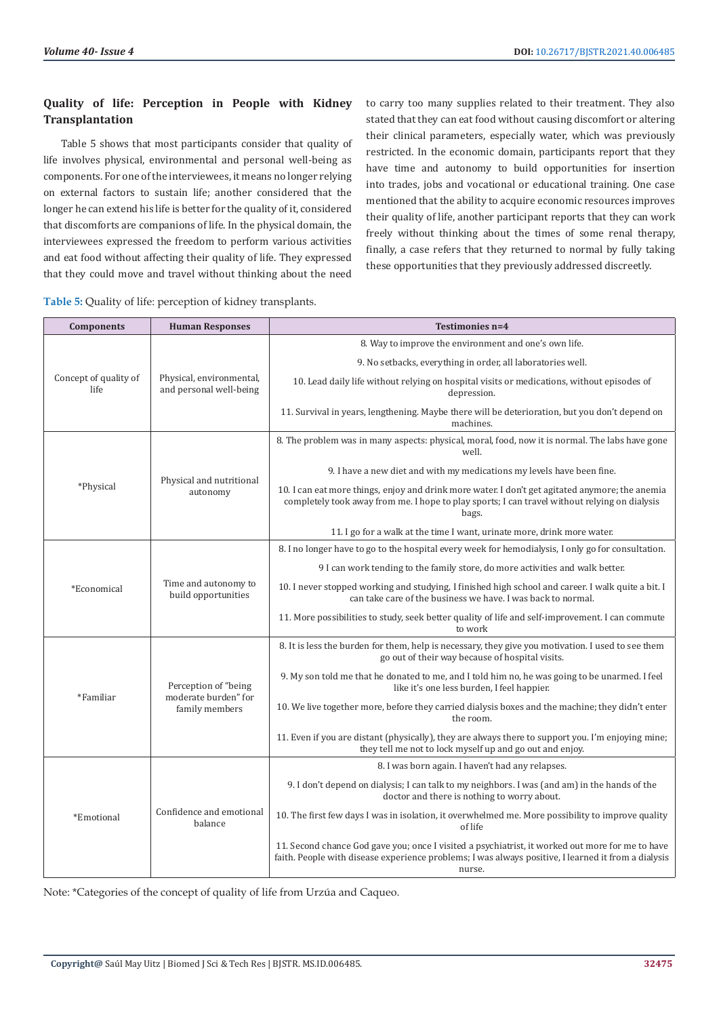# **Quality of life: Perception in People with Kidney Transplantation**

Table 5 shows that most participants consider that quality of life involves physical, environmental and personal well-being as components. For one of the interviewees, it means no longer relying on external factors to sustain life; another considered that the longer he can extend his life is better for the quality of it, considered that discomforts are companions of life. In the physical domain, the interviewees expressed the freedom to perform various activities and eat food without affecting their quality of life. They expressed that they could move and travel without thinking about the need

| Table 5: Quality of life: perception of kidney transplants. |  |  |
|-------------------------------------------------------------|--|--|
|-------------------------------------------------------------|--|--|

to carry too many supplies related to their treatment. They also stated that they can eat food without causing discomfort or altering their clinical parameters, especially water, which was previously restricted. In the economic domain, participants report that they have time and autonomy to build opportunities for insertion into trades, jobs and vocational or educational training. One case mentioned that the ability to acquire economic resources improves their quality of life, another participant reports that they can work freely without thinking about the times of some renal therapy, finally, a case refers that they returned to normal by fully taking these opportunities that they previously addressed discreetly.

| <b>Components</b>             | <b>Human Responses</b>                                         | Testimonies n=4                                                                                                                                                                                                   |
|-------------------------------|----------------------------------------------------------------|-------------------------------------------------------------------------------------------------------------------------------------------------------------------------------------------------------------------|
| Concept of quality of<br>life |                                                                | 8. Way to improve the environment and one's own life.                                                                                                                                                             |
|                               |                                                                | 9. No setbacks, everything in order, all laboratories well.                                                                                                                                                       |
|                               | Physical, environmental,<br>and personal well-being            | 10. Lead daily life without relying on hospital visits or medications, without episodes of<br>depression.                                                                                                         |
|                               |                                                                | 11. Survival in years, lengthening. Maybe there will be deterioration, but you don't depend on<br>machines.                                                                                                       |
|                               | Physical and nutritional<br>autonomy                           | 8. The problem was in many aspects: physical, moral, food, now it is normal. The labs have gone<br>well.                                                                                                          |
|                               |                                                                | 9. I have a new diet and with my medications my levels have been fine.                                                                                                                                            |
| *Physical                     |                                                                | 10. I can eat more things, enjoy and drink more water. I don't get agitated anymore; the anemia<br>completely took away from me. I hope to play sports; I can travel without relying on dialysis<br>bags.         |
|                               |                                                                | 11. I go for a walk at the time I want, urinate more, drink more water.                                                                                                                                           |
|                               |                                                                | 8. I no longer have to go to the hospital every week for hemodialysis, I only go for consultation.                                                                                                                |
| *Economical                   | Time and autonomy to<br>build opportunities                    | 9 I can work tending to the family store, do more activities and walk better.                                                                                                                                     |
|                               |                                                                | 10. I never stopped working and studying, I finished high school and career. I walk quite a bit. I<br>can take care of the business we have. I was back to normal.                                                |
|                               |                                                                | 11. More possibilities to study, seek better quality of life and self-improvement. I can commute<br>to work                                                                                                       |
| *Familiar                     | Perception of "being<br>moderate burden" for<br>family members | 8. It is less the burden for them, help is necessary, they give you motivation. I used to see them<br>go out of their way because of hospital visits.                                                             |
|                               |                                                                | 9. My son told me that he donated to me, and I told him no, he was going to be unarmed. I feel<br>like it's one less burden, I feel happier.                                                                      |
|                               |                                                                | 10. We live together more, before they carried dialysis boxes and the machine; they didn't enter<br>the room.                                                                                                     |
|                               |                                                                | 11. Even if you are distant (physically), they are always there to support you. I'm enjoying mine;<br>they tell me not to lock myself up and go out and enjoy.                                                    |
|                               | Confidence and emotional<br>balance                            | 8. I was born again. I haven't had any relapses.                                                                                                                                                                  |
| *Emotional                    |                                                                | 9. I don't depend on dialysis; I can talk to my neighbors. I was (and am) in the hands of the<br>doctor and there is nothing to worry about.                                                                      |
|                               |                                                                | 10. The first few days I was in isolation, it overwhelmed me. More possibility to improve quality<br>of life                                                                                                      |
|                               |                                                                | 11. Second chance God gave you; once I visited a psychiatrist, it worked out more for me to have<br>faith. People with disease experience problems; I was always positive, I learned it from a dialysis<br>nurse. |

Note: \*Categories of the concept of quality of life from Urzúa and Caqueo.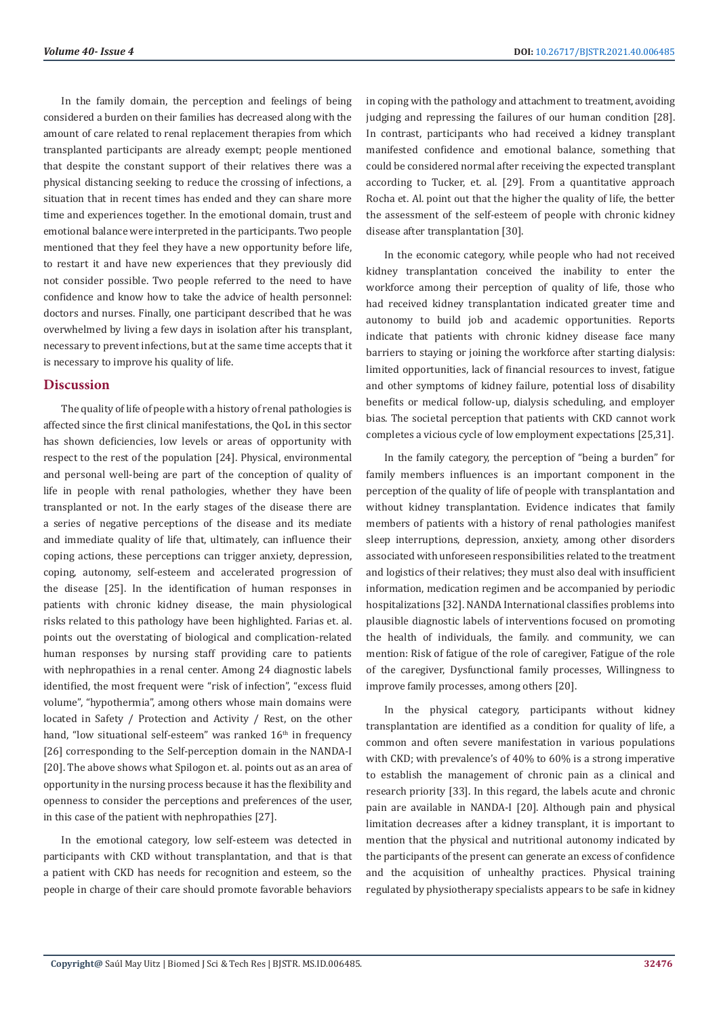In the family domain, the perception and feelings of being considered a burden on their families has decreased along with the amount of care related to renal replacement therapies from which transplanted participants are already exempt; people mentioned that despite the constant support of their relatives there was a physical distancing seeking to reduce the crossing of infections, a situation that in recent times has ended and they can share more time and experiences together. In the emotional domain, trust and emotional balance were interpreted in the participants. Two people mentioned that they feel they have a new opportunity before life, to restart it and have new experiences that they previously did not consider possible. Two people referred to the need to have confidence and know how to take the advice of health personnel: doctors and nurses. Finally, one participant described that he was overwhelmed by living a few days in isolation after his transplant, necessary to prevent infections, but at the same time accepts that it is necessary to improve his quality of life.

## **Discussion**

The quality of life of people with a history of renal pathologies is affected since the first clinical manifestations, the QoL in this sector has shown deficiencies, low levels or areas of opportunity with respect to the rest of the population [24]. Physical, environmental and personal well-being are part of the conception of quality of life in people with renal pathologies, whether they have been transplanted or not. In the early stages of the disease there are a series of negative perceptions of the disease and its mediate and immediate quality of life that, ultimately, can influence their coping actions, these perceptions can trigger anxiety, depression, coping, autonomy, self-esteem and accelerated progression of the disease [25]. In the identification of human responses in patients with chronic kidney disease, the main physiological risks related to this pathology have been highlighted. Farias et. al. points out the overstating of biological and complication-related human responses by nursing staff providing care to patients with nephropathies in a renal center. Among 24 diagnostic labels identified, the most frequent were "risk of infection", "excess fluid volume", "hypothermia", among others whose main domains were located in Safety / Protection and Activity / Rest, on the other hand, "low situational self-esteem" was ranked  $16<sup>th</sup>$  in frequency [26] corresponding to the Self-perception domain in the NANDA-I [20]. The above shows what Spilogon et. al. points out as an area of opportunity in the nursing process because it has the flexibility and openness to consider the perceptions and preferences of the user, in this case of the patient with nephropathies [27].

In the emotional category, low self-esteem was detected in participants with CKD without transplantation, and that is that a patient with CKD has needs for recognition and esteem, so the people in charge of their care should promote favorable behaviors

in coping with the pathology and attachment to treatment, avoiding judging and repressing the failures of our human condition [28]. In contrast, participants who had received a kidney transplant manifested confidence and emotional balance, something that could be considered normal after receiving the expected transplant according to Tucker, et. al. [29]. From a quantitative approach Rocha et. Al. point out that the higher the quality of life, the better the assessment of the self-esteem of people with chronic kidney disease after transplantation [30].

In the economic category, while people who had not received kidney transplantation conceived the inability to enter the workforce among their perception of quality of life, those who had received kidney transplantation indicated greater time and autonomy to build job and academic opportunities. Reports indicate that patients with chronic kidney disease face many barriers to staying or joining the workforce after starting dialysis: limited opportunities, lack of financial resources to invest, fatigue and other symptoms of kidney failure, potential loss of disability benefits or medical follow-up, dialysis scheduling, and employer bias. The societal perception that patients with CKD cannot work completes a vicious cycle of low employment expectations [25,31].

In the family category, the perception of "being a burden" for family members influences is an important component in the perception of the quality of life of people with transplantation and without kidney transplantation. Evidence indicates that family members of patients with a history of renal pathologies manifest sleep interruptions, depression, anxiety, among other disorders associated with unforeseen responsibilities related to the treatment and logistics of their relatives; they must also deal with insufficient information, medication regimen and be accompanied by periodic hospitalizations [32]. NANDA International classifies problems into plausible diagnostic labels of interventions focused on promoting the health of individuals, the family. and community, we can mention: Risk of fatigue of the role of caregiver, Fatigue of the role of the caregiver, Dysfunctional family processes, Willingness to improve family processes, among others [20].

In the physical category, participants without kidney transplantation are identified as a condition for quality of life, a common and often severe manifestation in various populations with CKD; with prevalence's of 40% to 60% is a strong imperative to establish the management of chronic pain as a clinical and research priority [33]. In this regard, the labels acute and chronic pain are available in NANDA-I [20]. Although pain and physical limitation decreases after a kidney transplant, it is important to mention that the physical and nutritional autonomy indicated by the participants of the present can generate an excess of confidence and the acquisition of unhealthy practices. Physical training regulated by physiotherapy specialists appears to be safe in kidney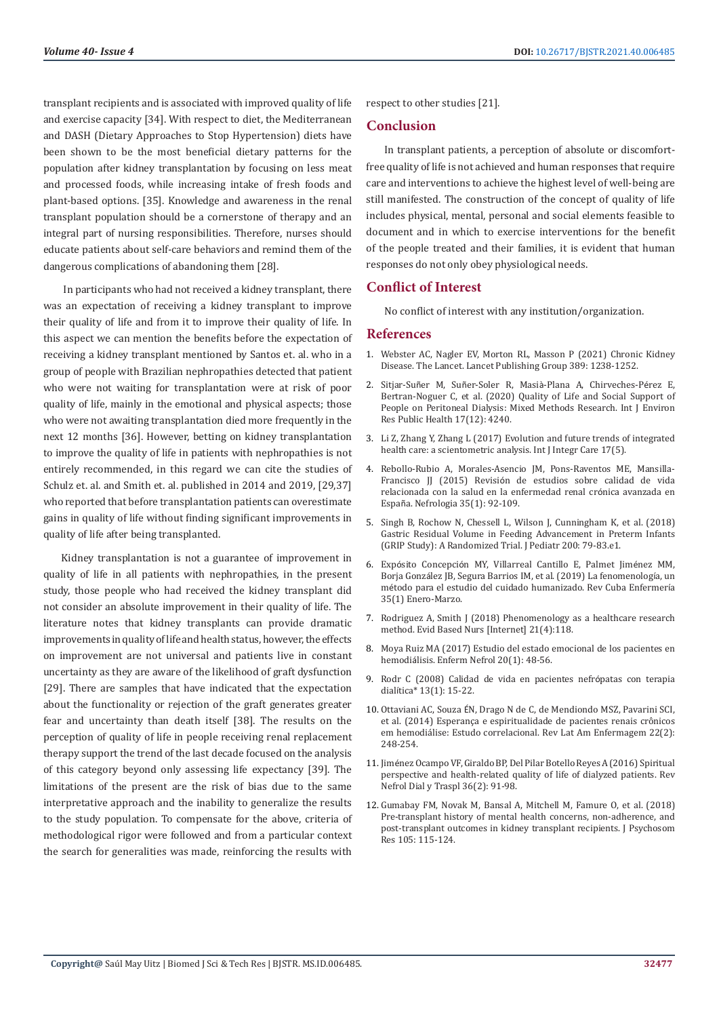transplant recipients and is associated with improved quality of life and exercise capacity [34]. With respect to diet, the Mediterranean and DASH (Dietary Approaches to Stop Hypertension) diets have been shown to be the most beneficial dietary patterns for the population after kidney transplantation by focusing on less meat and processed foods, while increasing intake of fresh foods and plant-based options. [35]. Knowledge and awareness in the renal transplant population should be a cornerstone of therapy and an integral part of nursing responsibilities. Therefore, nurses should educate patients about self-care behaviors and remind them of the dangerous complications of abandoning them [28].

 In participants who had not received a kidney transplant, there was an expectation of receiving a kidney transplant to improve their quality of life and from it to improve their quality of life. In this aspect we can mention the benefits before the expectation of receiving a kidney transplant mentioned by Santos et. al. who in a group of people with Brazilian nephropathies detected that patient who were not waiting for transplantation were at risk of poor quality of life, mainly in the emotional and physical aspects; those who were not awaiting transplantation died more frequently in the next 12 months [36]. However, betting on kidney transplantation to improve the quality of life in patients with nephropathies is not entirely recommended, in this regard we can cite the studies of Schulz et. al. and Smith et. al. published in 2014 and 2019, [29,37] who reported that before transplantation patients can overestimate gains in quality of life without finding significant improvements in quality of life after being transplanted.

Kidney transplantation is not a guarantee of improvement in quality of life in all patients with nephropathies, in the present study, those people who had received the kidney transplant did not consider an absolute improvement in their quality of life. The literature notes that kidney transplants can provide dramatic improvements in quality of life and health status, however, the effects on improvement are not universal and patients live in constant uncertainty as they are aware of the likelihood of graft dysfunction [29]. There are samples that have indicated that the expectation about the functionality or rejection of the graft generates greater fear and uncertainty than death itself [38]. The results on the perception of quality of life in people receiving renal replacement therapy support the trend of the last decade focused on the analysis of this category beyond only assessing life expectancy [39]. The limitations of the present are the risk of bias due to the same interpretative approach and the inability to generalize the results to the study population. To compensate for the above, criteria of methodological rigor were followed and from a particular context the search for generalities was made, reinforcing the results with respect to other studies [21].

#### **Conclusion**

In transplant patients, a perception of absolute or discomfortfree quality of life is not achieved and human responses that require care and interventions to achieve the highest level of well-being are still manifested. The construction of the concept of quality of life includes physical, mental, personal and social elements feasible to document and in which to exercise interventions for the benefit of the people treated and their families, it is evident that human responses do not only obey physiological needs.

# **Conflict of Interest**

No conflict of interest with any institution/organization.

#### **References**

- 1. Webster AC, Nagler EV, Morton RL, Masson P (2021) Chronic Kidney Disease. The Lancet. Lancet Publishing Group 389: 1238-1252.
- 2. Sitjar-Suñer M, Suñer-Soler R, Masià[-Plana A, Chirveches-P](https://pubmed.ncbi.nlm.nih.gov/32545857)érez E, [Bertran-Noguer C, et al. \(2020\) Quality of Life and Social Support of](https://pubmed.ncbi.nlm.nih.gov/32545857) [People on Peritoneal Dialysis: Mixed Methods Research. Int J Environ](https://pubmed.ncbi.nlm.nih.gov/32545857) [Res Public Health 17\(12\): 4240.](https://pubmed.ncbi.nlm.nih.gov/32545857)
- 3. [Li Z, Zhang Y, Zhang L \(2017\) Evolution and future trends of integrated](https://www.researchgate.net/publication/320494747_Evolution_and_future_trends_of_integrated_health_care_a_scientometric_analysis) [health care: a scientometric analysis. Int J Integr Care 17\(5\).](https://www.researchgate.net/publication/320494747_Evolution_and_future_trends_of_integrated_health_care_a_scientometric_analysis)
- 4. [Rebollo-Rubio A, Morales-Asencio JM, Pons-Raventos ME, Mansilla-](https://pubmed.ncbi.nlm.nih.gov/25611838/)Francisco JJ (2015) Revisió[n de estudios sobre calidad de vida](https://pubmed.ncbi.nlm.nih.gov/25611838/) [relacionada con la salud en la enfermedad renal cr](https://pubmed.ncbi.nlm.nih.gov/25611838/)ónica avanzada en Españ[a. Nefrologia 35\(1\): 92-109.](https://pubmed.ncbi.nlm.nih.gov/25611838/)
- 5. Singh B, Rochow N, Chessell L, Wilson J, Cunningham K, et al. (2018) Gastric Residual Volume in Feeding Advancement in Preterm Infants (GRIP Study): A Randomized Trial. J Pediatr 200: 79-83.e1.
- 6. Expósito Concepció[n MY, Villarreal Cantillo E, Palmet Jim](http://www.revenfermeria.sld.cu/index.php/enf/article/view/2333/433)énez MM, Borja Gonzá[lez JB, Segura Barrios IM, et al. \(2019\) La fenomenolog](http://www.revenfermeria.sld.cu/index.php/enf/article/view/2333/433)ía, un mé[todo para el estudio del cuidado humanizado. Rev Cuba Enfermer](http://www.revenfermeria.sld.cu/index.php/enf/article/view/2333/433)ía [35\(1\) Enero-Marzo.](http://www.revenfermeria.sld.cu/index.php/enf/article/view/2333/433)
- 7. [Rodriguez A, Smith J \(2018\) Phenomenology as a healthcare research](http://ebn.bmj.com/) [method. Evid Based Nurs \[Internet\] 21\(4\):118.](http://ebn.bmj.com/)
- 8. [Moya Ruiz MA \(2017\) Estudio del estado emocional de los pacientes en](https://scielo.isciii.es/scielo.php?script=sci_abstract&pid=S2254-28842017000100007) hemodiá[lisis. Enferm Nefrol 20\(1\): 48-56.](https://scielo.isciii.es/scielo.php?script=sci_abstract&pid=S2254-28842017000100007)
- 9. Rodr C (2008) Calidad de vida en pacientes nefrópatas con terapia dialítica\* 13(1): 15-22.
- 10. Ottaviani AC, Souza É[N, Drago N de C, de Mendiondo MSZ, Pavarini SCI,](https://www.scielo.br/j/rlae/a/HLbVRsmq9DZLShjDJtkKK9n/?lang=pt) [et al. \(2014\) Esperança e espiritualidade de pacientes renais crônicos](https://www.scielo.br/j/rlae/a/HLbVRsmq9DZLShjDJtkKK9n/?lang=pt) [em hemodiálise: Estudo correlacional. Rev Lat Am Enfermagem 22\(2\):](https://www.scielo.br/j/rlae/a/HLbVRsmq9DZLShjDJtkKK9n/?lang=pt) [248-254.](https://www.scielo.br/j/rlae/a/HLbVRsmq9DZLShjDJtkKK9n/?lang=pt)
- 11. Jiménez Ocampo VF, Giraldo BP, Del Pilar Botello Reyes A (2016) Spiritual perspective and health-related quality of life of dialyzed patients. Rev Nefrol Dial y Traspl 36(2): 91-98.
- 12. [Gumabay FM, Novak M, Bansal A, Mitchell M, Famure O, et al. \(2018\)](https://pubmed.ncbi.nlm.nih.gov/29332627/) [Pre-transplant history of mental health concerns, non-adherence, and](https://pubmed.ncbi.nlm.nih.gov/29332627/) [post-transplant outcomes in kidney transplant recipients. J Psychosom](https://pubmed.ncbi.nlm.nih.gov/29332627/) [Res 105: 115-124.](https://pubmed.ncbi.nlm.nih.gov/29332627/)